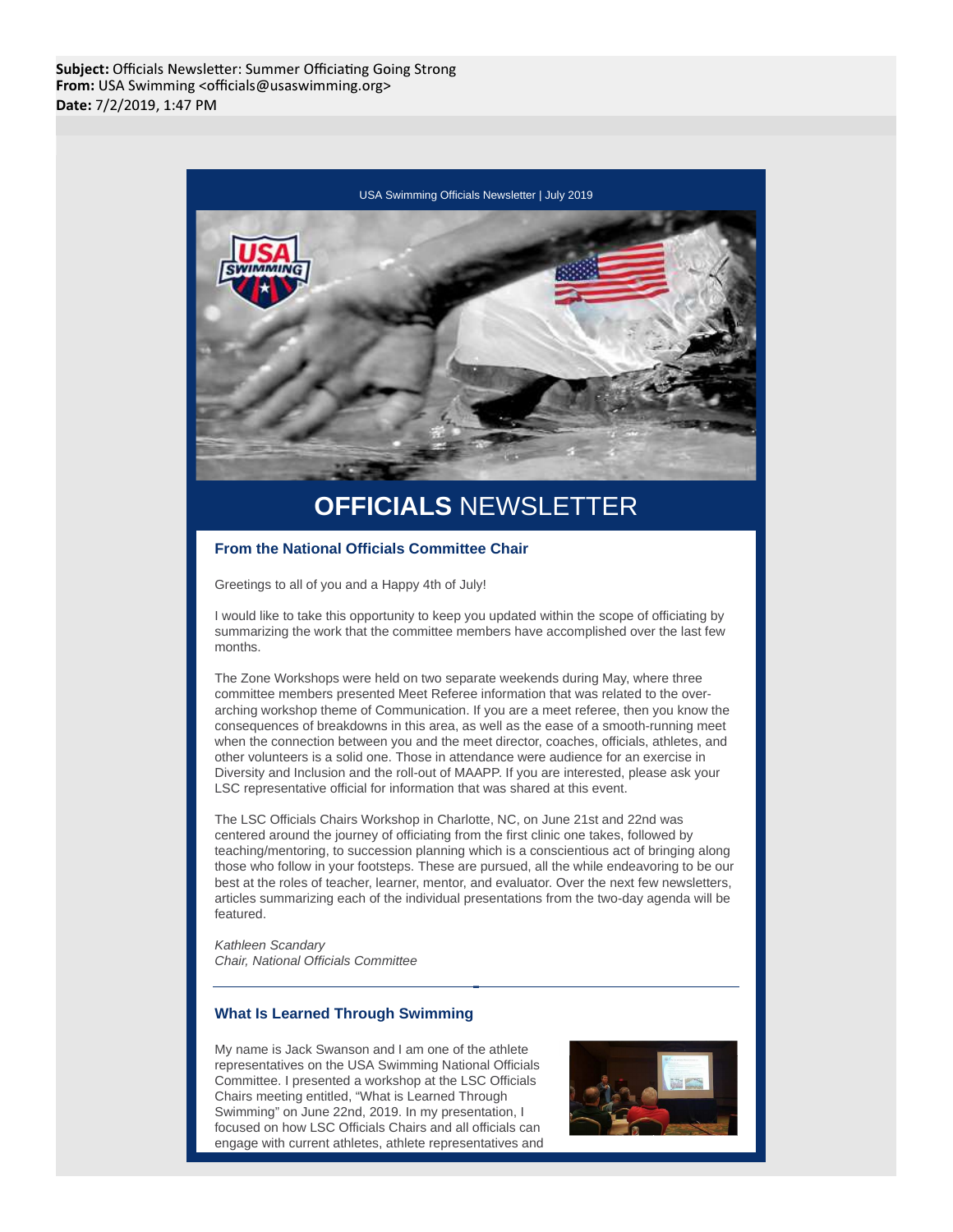

# **OFFICIALS** NEWSLETTER

## **From the National Officials Committee Chair**

Greetings to all of you and a Happy 4th of July!

I would like to take this opportunity to keep you updated within the scope of officiating by summarizing the work that the committee members have accomplished over the last few months.

The Zone Workshops were held on two separate weekends during May, where three committee members presented Meet Referee information that was related to the overarching workshop theme of Communication. If you are a meet referee, then you know the consequences of breakdowns in this area, as well as the ease of a smooth-running meet when the connection between you and the meet director, coaches, officials, athletes, and other volunteers is a solid one. Those in attendance were audience for an exercise in Diversity and Inclusion and the roll-out of MAAPP. If you are interested, please ask your LSC representative official for information that was shared at this event.

The LSC Officials Chairs Workshop in Charlotte, NC, on June 21st and 22nd was centered around the journey of officiating from the first clinic one takes, followed by teaching/mentoring, to succession planning which is a conscientious act of bringing along those who follow in your footsteps. These are pursued, all the while endeavoring to be our best at the roles of teacher, learner, mentor, and evaluator. Over the next few newsletters, articles summarizing each of the individual presentations from the two-day agenda will be featured.

Kathleen Scandary Chair, National Officials Committee

## **What Is Learned Through Swimming**

My name is Jack Swanson and I am one of the athlete representatives on the USA Swimming National Officials Committee. I presented a workshop at the LSC Officials Chairs meeting entitled, "What is Learned Through Swimming" on June 22nd, 2019. In my presentation, I focused on how LSC Officials Chairs and all officials can engage with current athletes, athlete representatives and

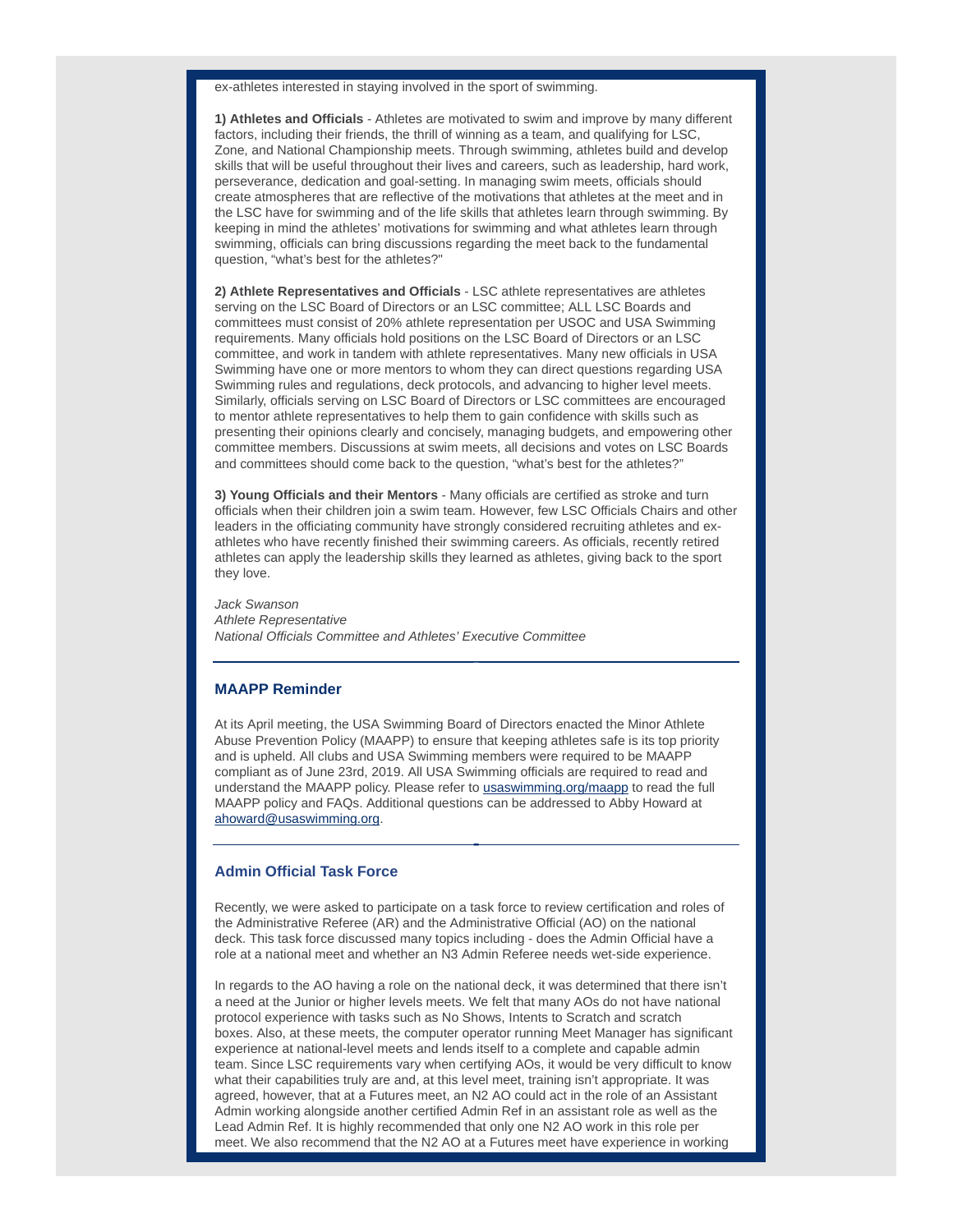ex-athletes interested in staying involved in the sport of swimming.

**1) Athletes and Officials** - Athletes are motivated to swim and improve by many different factors, including their friends, the thrill of winning as a team, and qualifying for LSC, Zone, and National Championship meets. Through swimming, athletes build and develop skills that will be useful throughout their lives and careers, such as leadership, hard work, perseverance, dedication and goal-setting. In managing swim meets, officials should create atmospheres that are reflective of the motivations that athletes at the meet and in the LSC have for swimming and of the life skills that athletes learn through swimming. By keeping in mind the athletes' motivations for swimming and what athletes learn through swimming, officials can bring discussions regarding the meet back to the fundamental question, "what's best for the athletes?"

**2) Athlete Representatives and Officials** - LSC athlete representatives are athletes serving on the LSC Board of Directors or an LSC committee; ALL LSC Boards and committees must consist of 20% athlete representation per USOC and USA Swimming requirements. Many officials hold positions on the LSC Board of Directors or an LSC committee, and work in tandem with athlete representatives. Many new officials in USA Swimming have one or more mentors to whom they can direct questions regarding USA Swimming rules and regulations, deck protocols, and advancing to higher level meets. Similarly, officials serving on LSC Board of Directors or LSC committees are encouraged to mentor athlete representatives to help them to gain confidence with skills such as presenting their opinions clearly and concisely, managing budgets, and empowering other committee members. Discussions at swim meets, all decisions and votes on LSC Boards and committees should come back to the question, "what's best for the athletes?"

**3) Young Officials and their Mentors** - Many officials are certified as stroke and turn officials when their children join a swim team. However, few LSC Officials Chairs and other leaders in the officiating community have strongly considered recruiting athletes and exathletes who have recently finished their swimming careers. As officials, recently retired athletes can apply the leadership skills they learned as athletes, giving back to the sport they love.

Jack Swanson Athlete Representative National Officials Committee and Athletes' Executive Committee

## **MAAPP Reminder**

At its April meeting, the USA Swimming Board of Directors enacted the Minor Athlete Abuse Prevention Policy (MAAPP) to ensure that keeping athletes safe is its top priority and is upheld. All clubs and USA Swimming members were required to be MAAPP compliant as of June 23rd, 2019. All USA Swimming officials are required to read and understand the MAAPP policy. Please refer to usaswimming.org/maapp to read the full MAAPP policy and FAQs. Additional questions can be addressed to Abby Howard at ahoward@usaswimming.org.

# **Admin Official Task Force**

Recently, we were asked to participate on a task force to review certification and roles of the Administrative Referee (AR) and the Administrative Official (AO) on the national deck. This task force discussed many topics including - does the Admin Official have a role at a national meet and whether an N3 Admin Referee needs wet-side experience.

In regards to the AO having a role on the national deck, it was determined that there isn't a need at the Junior or higher levels meets. We felt that many AOs do not have national protocol experience with tasks such as No Shows, Intents to Scratch and scratch boxes. Also, at these meets, the computer operator running Meet Manager has significant experience at national-level meets and lends itself to a complete and capable admin team. Since LSC requirements vary when certifying AOs, it would be very difficult to know what their capabilities truly are and, at this level meet, training isn't appropriate. It was agreed, however, that at a Futures meet, an N2 AO could act in the role of an Assistant Admin working alongside another certified Admin Ref in an assistant role as well as the Lead Admin Ref. It is highly recommended that only one N2 AO work in this role per meet. We also recommend that the N2 AO at a Futures meet have experience in working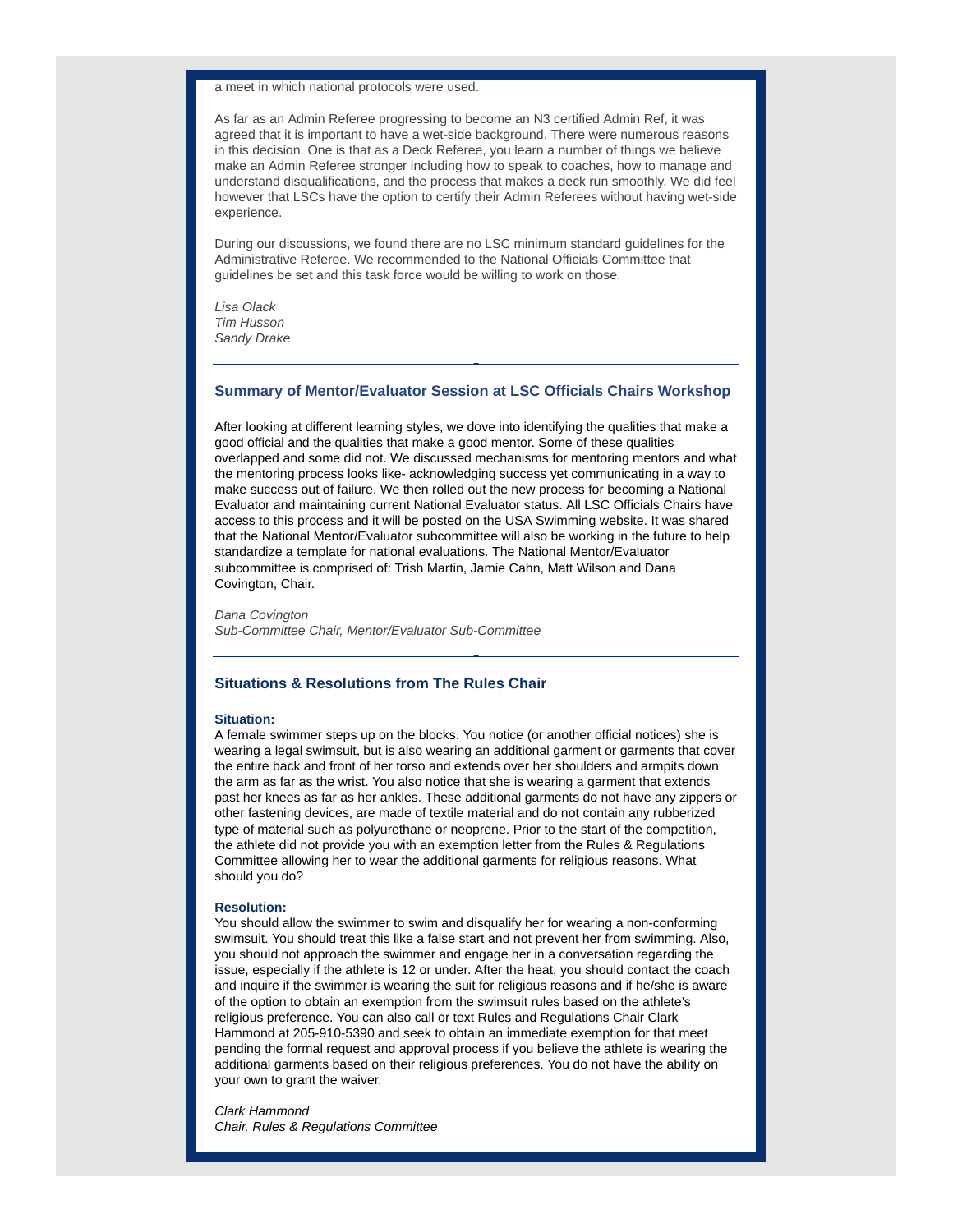a meet in which national protocols were used.

As far as an Admin Referee progressing to become an N3 certified Admin Ref, it was agreed that it is important to have a wet-side background. There were numerous reasons in this decision. One is that as a Deck Referee, you learn a number of things we believe make an Admin Referee stronger including how to speak to coaches, how to manage and understand disqualifications, and the process that makes a deck run smoothly. We did feel however that LSCs have the option to certify their Admin Referees without having wet-side experience.

During our discussions, we found there are no LSC minimum standard guidelines for the Administrative Referee. We recommended to the National Officials Committee that guidelines be set and this task force would be willing to work on those.

Lisa Olack Tim Husson Sandy Drake

### **Summary of Mentor/Evaluator Session at LSC Officials Chairs Workshop**

After looking at different learning styles, we dove into identifying the qualities that make a good official and the qualities that make a good mentor. Some of these qualities overlapped and some did not. We discussed mechanisms for mentoring mentors and what the mentoring process looks like- acknowledging success yet communicating in a way to make success out of failure. We then rolled out the new process for becoming a National Evaluator and maintaining current National Evaluator status. All LSC Officials Chairs have access to this process and it will be posted on the USA Swimming website. It was shared that the National Mentor/Evaluator subcommittee will also be working in the future to help standardize a template for national evaluations. The National Mentor/Evaluator subcommittee is comprised of: Trish Martin, Jamie Cahn, Matt Wilson and Dana Covington, Chair.

Dana Covington Sub-Committee Chair, Mentor/Evaluator Sub-Committee

## **Situations & Resolutions from The Rules Chair**

#### **Situation:**

A female swimmer steps up on the blocks. You notice (or another official notices) she is wearing a legal swimsuit, but is also wearing an additional garment or garments that cover the entire back and front of her torso and extends over her shoulders and armpits down the arm as far as the wrist. You also notice that she is wearing a garment that extends past her knees as far as her ankles. These additional garments do not have any zippers or other fastening devices, are made of textile material and do not contain any rubberized type of material such as polyurethane or neoprene. Prior to the start of the competition, the athlete did not provide you with an exemption letter from the Rules & Regulations Committee allowing her to wear the additional garments for religious reasons. What should you do?

#### **Resolution:**

You should allow the swimmer to swim and disqualify her for wearing a non-conforming swimsuit. You should treat this like a false start and not prevent her from swimming. Also, you should not approach the swimmer and engage her in a conversation regarding the issue, especially if the athlete is 12 or under. After the heat, you should contact the coach and inquire if the swimmer is wearing the suit for religious reasons and if he/she is aware of the option to obtain an exemption from the swimsuit rules based on the athlete's religious preference. You can also call or text Rules and Regulations Chair Clark Hammond at 205-910-5390 and seek to obtain an immediate exemption for that meet pending the formal request and approval process if you believe the athlete is wearing the additional garments based on their religious preferences. You do not have the ability on your own to grant the waiver.

Clark Hammond Chair, Rules & Regulations Committee